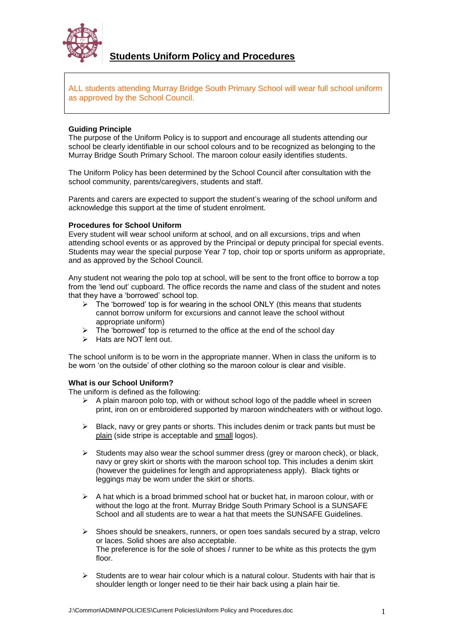

# **Students Uniform Policy and Procedures**

ALL students attending Murray Bridge South Primary School will wear full school uniform as approved by the School Council.

# **Guiding Principle**

The purpose of the Uniform Policy is to support and encourage all students attending our school be clearly identifiable in our school colours and to be recognized as belonging to the Murray Bridge South Primary School. The maroon colour easily identifies students.

The Uniform Policy has been determined by the School Council after consultation with the school community, parents/caregivers, students and staff.

Parents and carers are expected to support the student's wearing of the school uniform and acknowledge this support at the time of student enrolment.

# **Procedures for School Uniform**

Every student will wear school uniform at school, and on all excursions, trips and when attending school events or as approved by the Principal or deputy principal for special events. Students may wear the special purpose Year 7 top, choir top or sports uniform as appropriate, and as approved by the School Council.

Any student not wearing the polo top at school, will be sent to the front office to borrow a top from the 'lend out' cupboard. The office records the name and class of the student and notes that they have a 'borrowed' school top.

- $\triangleright$  The 'borrowed' top is for wearing in the school ONLY (this means that students cannot borrow uniform for excursions and cannot leave the school without appropriate uniform)
- $\triangleright$  The 'borrowed' top is returned to the office at the end of the school day
- Hats are NOT lent out

The school uniform is to be worn in the appropriate manner. When in class the uniform is to be worn 'on the outside' of other clothing so the maroon colour is clear and visible.

# **What is our School Uniform?**

The uniform is defined as the following:

- $\triangleright$  A plain maroon polo top, with or without school logo of the paddle wheel in screen print, iron on or embroidered supported by maroon windcheaters with or without logo.
- $\triangleright$  Black, navy or grey pants or shorts. This includes denim or track pants but must be plain (side stripe is acceptable and small logos).
- $\triangleright$  Students may also wear the school summer dress (grey or maroon check), or black, navy or grey skirt or shorts with the maroon school top. This includes a denim skirt (however the guidelines for length and appropriateness apply). Black tights or leggings may be worn under the skirt or shorts.
- $\triangleright$  A hat which is a broad brimmed school hat or bucket hat, in maroon colour, with or without the logo at the front. Murray Bridge South Primary School is a SUNSAFE School and all students are to wear a hat that meets the SUNSAFE Guidelines.
- $\triangleright$  Shoes should be sneakers, runners, or open toes sandals secured by a strap, velcro or laces. Solid shoes are also acceptable. The preference is for the sole of shoes / runner to be white as this protects the gym floor.
- $\triangleright$  Students are to wear hair colour which is a natural colour. Students with hair that is shoulder length or longer need to tie their hair back using a plain hair tie.